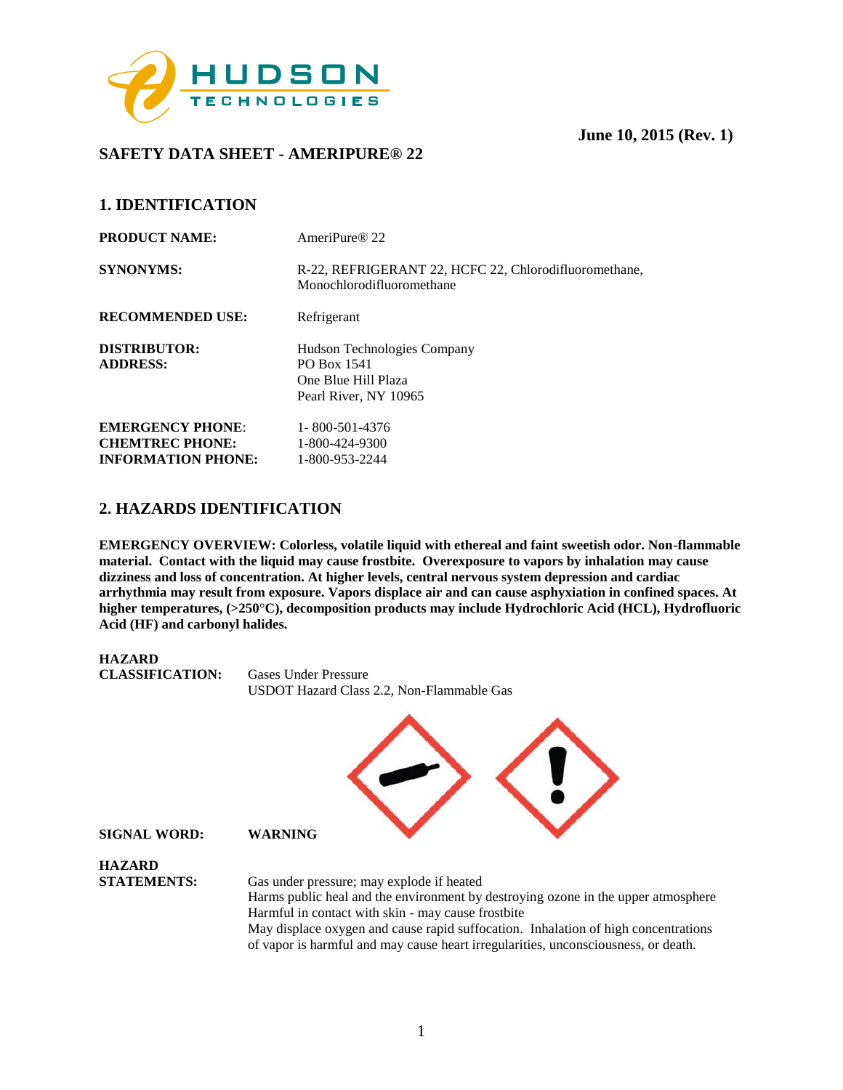

# **SAFETY DATA SHEET - AMERIPURE® 22**

# **1. IDENTIFICATION**

| <b>PRODUCT NAME:</b>                                                           | AmeriPure <sup>®</sup> 22                                                                  |
|--------------------------------------------------------------------------------|--------------------------------------------------------------------------------------------|
| <b>SYNONYMS:</b>                                                               | R-22, REFRIGERANT 22, HCFC 22, Chlorodifluoromethane,<br>Monochlorodifluoromethane         |
| <b>RECOMMENDED USE:</b>                                                        | Refrigerant                                                                                |
| <b>DISTRIBUTOR:</b><br><b>ADDRESS:</b>                                         | Hudson Technologies Company<br>PO Box 1541<br>One Blue Hill Plaza<br>Pearl River, NY 10965 |
| <b>EMERGENCY PHONE:</b><br><b>CHEMTREC PHONE:</b><br><b>INFORMATION PHONE:</b> | 1-800-501-4376<br>1-800-424-9300<br>1-800-953-2244                                         |

# **2. HAZARDS IDENTIFICATION**

**EMERGENCY OVERVIEW: Colorless, volatile liquid with ethereal and faint sweetish odor. Non-flammable material. Contact with the liquid may cause frostbite. Overexposure to vapors by inhalation may cause dizziness and loss of concentration. At higher levels, central nervous system depression and cardiac arrhythmia may result from exposure. Vapors displace air and can cause asphyxiation in confined spaces. At higher temperatures, (>250**°**C), decomposition products may include Hydrochloric Acid (HCL), Hydrofluoric Acid (HF) and carbonyl halides.** 

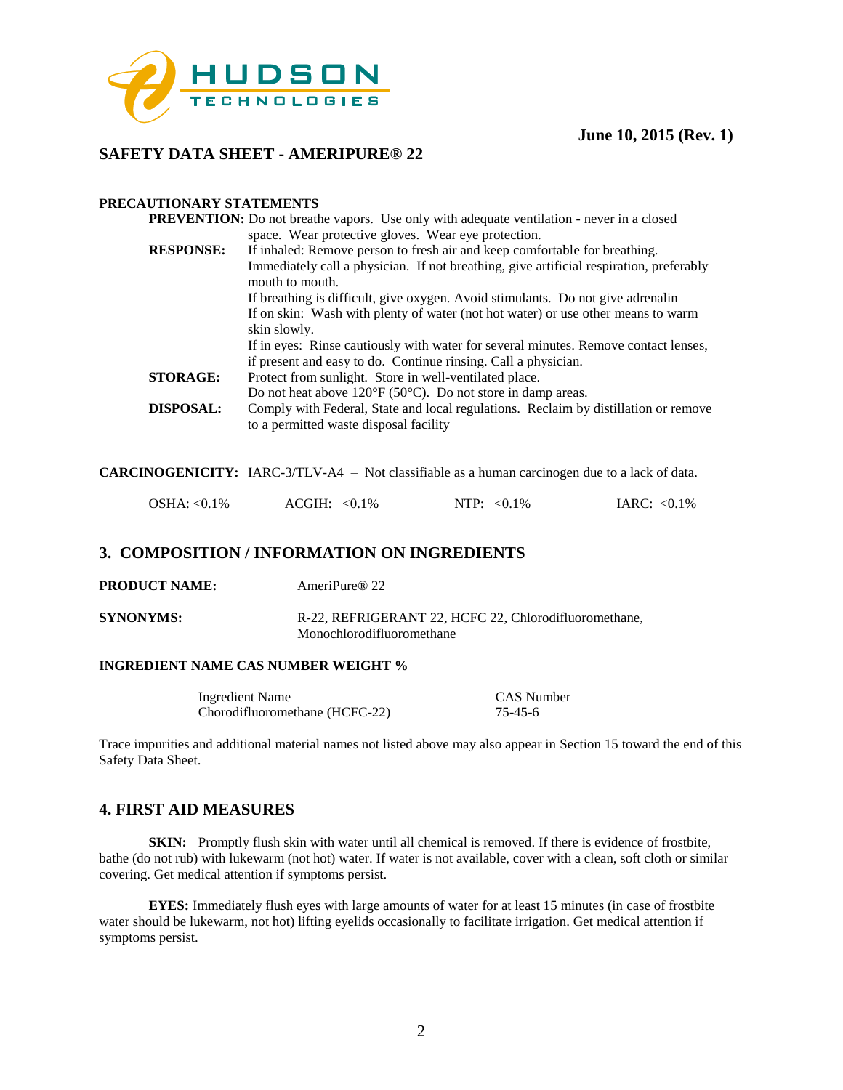

### **SAFETY DATA SHEET - AMERIPURE® 22**

#### **PRECAUTIONARY STATEMENTS**

|                  | <b>PREVENTION:</b> Do not breathe vapors. Use only with adequate ventilation - never in a closed |
|------------------|--------------------------------------------------------------------------------------------------|
|                  | space. Wear protective gloves. Wear eye protection.                                              |
| <b>RESPONSE:</b> | If inhaled: Remove person to fresh air and keep comfortable for breathing.                       |
|                  | Immediately call a physician. If not breathing, give artificial respiration, preferably          |
|                  | mouth to mouth.                                                                                  |
|                  | If breathing is difficult, give oxygen. Avoid stimulants. Do not give adrenalin                  |
|                  | If on skin: Wash with plenty of water (not hot water) or use other means to warm                 |
|                  | skin slowly.                                                                                     |
|                  | If in eyes: Rinse cautiously with water for several minutes. Remove contact lenses,              |
|                  | if present and easy to do. Continue rinsing. Call a physician.                                   |
| <b>STORAGE:</b>  | Protect from sunlight. Store in well-ventilated place.                                           |
|                  | Do not heat above $120^{\circ}F(50^{\circ}C)$ . Do not store in damp areas.                      |
| <b>DISPOSAL:</b> | Comply with Federal, State and local regulations. Reclaim by distillation or remove              |
|                  | to a permitted waste disposal facility                                                           |

**CARCINOGENICITY:** IARC-3/TLV-A4 – Not classifiable as a human carcinogen due to a lack of data.

|  | $OSHA: < 0.1\%$ | $ACGIH: <0.1\%$ | NTP: $< 0.1\%$ | IARC: $< 0.1\%$ |
|--|-----------------|-----------------|----------------|-----------------|
|--|-----------------|-----------------|----------------|-----------------|

### **3. COMPOSITION / INFORMATION ON INGREDIENTS**

|  | <b>PRODUCT NAME:</b> | AmeriPure <sup>®</sup> 22 |
|--|----------------------|---------------------------|
|--|----------------------|---------------------------|

**SYNONYMS:** R-22, REFRIGERANT 22, HCFC 22, Chlorodifluoromethane, Monochlorodifluoromethane

#### **INGREDIENT NAME CAS NUMBER WEIGHT %**

| Ingredient Name                | <b>CAS</b> Number |
|--------------------------------|-------------------|
| Chorodifluoromethane (HCFC-22) | 75-45-6           |

Trace impurities and additional material names not listed above may also appear in Section 15 toward the end of this Safety Data Sheet.

### **4. FIRST AID MEASURES**

**SKIN:** Promptly flush skin with water until all chemical is removed. If there is evidence of frostbite, bathe (do not rub) with lukewarm (not hot) water. If water is not available, cover with a clean, soft cloth or similar covering. Get medical attention if symptoms persist.

**EYES:** Immediately flush eyes with large amounts of water for at least 15 minutes (in case of frostbite water should be lukewarm, not hot) lifting eyelids occasionally to facilitate irrigation. Get medical attention if symptoms persist.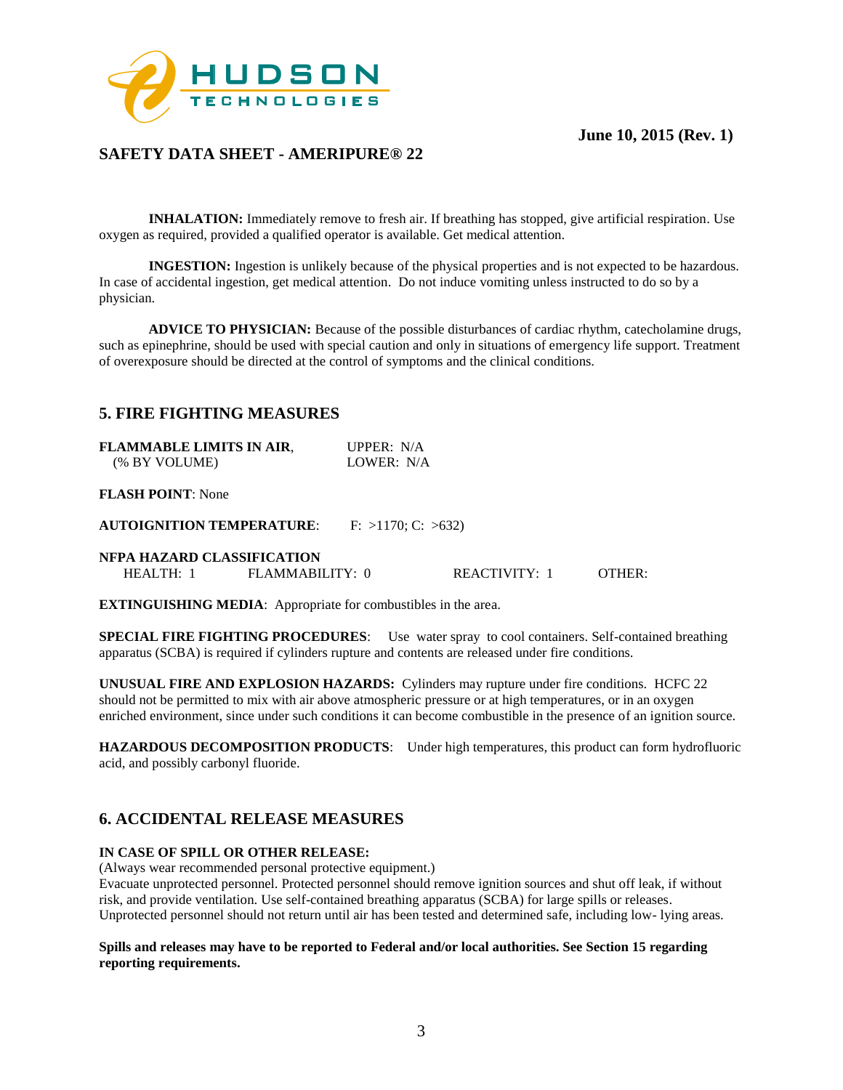

### **SAFETY DATA SHEET - AMERIPURE® 22**

**INHALATION:** Immediately remove to fresh air. If breathing has stopped, give artificial respiration. Use oxygen as required, provided a qualified operator is available. Get medical attention.

**INGESTION:** Ingestion is unlikely because of the physical properties and is not expected to be hazardous. In case of accidental ingestion, get medical attention. Do not induce vomiting unless instructed to do so by a physician.

**ADVICE TO PHYSICIAN:** Because of the possible disturbances of cardiac rhythm, catecholamine drugs, such as epinephrine, should be used with special caution and only in situations of emergency life support. Treatment of overexposure should be directed at the control of symptoms and the clinical conditions.

### **5. FIRE FIGHTING MEASURES**

| <b>FLAMMABLE LIMITS IN AIR,</b> | UPPER: $N/A$ |
|---------------------------------|--------------|
| (% BY VOLUME)                   | LOWER: N/A   |

#### **FLASH POINT**: None

**AUTOIGNITION TEMPERATURE:** F: >1170; C: >632)

#### **NFPA HAZARD CLASSIFICATION**

| FLAMMABILITY: 0<br><b>REACTIVITY:</b><br>OTHER.<br><b>HEALTH:</b><br>the contract of the contract of the contract of the contract of the contract of the contract of the contract of |
|--------------------------------------------------------------------------------------------------------------------------------------------------------------------------------------|
|--------------------------------------------------------------------------------------------------------------------------------------------------------------------------------------|

**EXTINGUISHING MEDIA**: Appropriate for combustibles in the area.

**SPECIAL FIRE FIGHTING PROCEDURES**: Use water spray to cool containers. Self-contained breathing apparatus (SCBA) is required if cylinders rupture and contents are released under fire conditions.

**UNUSUAL FIRE AND EXPLOSION HAZARDS:** Cylinders may rupture under fire conditions. HCFC 22 should not be permitted to mix with air above atmospheric pressure or at high temperatures, or in an oxygen enriched environment, since under such conditions it can become combustible in the presence of an ignition source.

**HAZARDOUS DECOMPOSITION PRODUCTS**: Under high temperatures, this product can form hydrofluoric acid, and possibly carbonyl fluoride.

### **6. ACCIDENTAL RELEASE MEASURES**

#### **IN CASE OF SPILL OR OTHER RELEASE:**

(Always wear recommended personal protective equipment.)

Evacuate unprotected personnel. Protected personnel should remove ignition sources and shut off leak, if without risk, and provide ventilation. Use self-contained breathing apparatus (SCBA) for large spills or releases. Unprotected personnel should not return until air has been tested and determined safe, including low- lying areas.

#### **Spills and releases may have to be reported to Federal and/or local authorities. See Section 15 regarding reporting requirements.**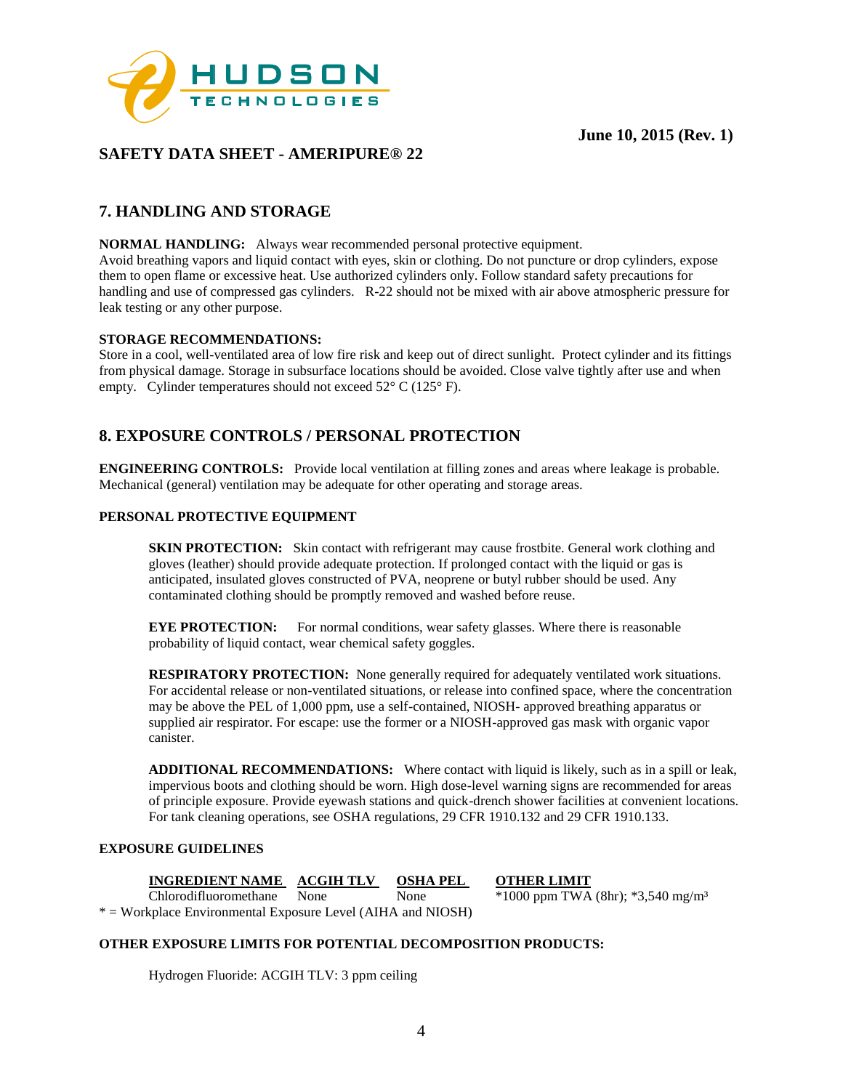

# **SAFETY DATA SHEET - AMERIPURE® 22**

# **7. HANDLING AND STORAGE**

**NORMAL HANDLING:** Always wear recommended personal protective equipment.

Avoid breathing vapors and liquid contact with eyes, skin or clothing. Do not puncture or drop cylinders, expose them to open flame or excessive heat. Use authorized cylinders only. Follow standard safety precautions for handling and use of compressed gas cylinders. R-22 should not be mixed with air above atmospheric pressure for leak testing or any other purpose.

#### **STORAGE RECOMMENDATIONS:**

Store in a cool, well-ventilated area of low fire risk and keep out of direct sunlight. Protect cylinder and its fittings from physical damage. Storage in subsurface locations should be avoided. Close valve tightly after use and when empty. Cylinder temperatures should not exceed 52° C (125° F).

# **8. EXPOSURE CONTROLS / PERSONAL PROTECTION**

**ENGINEERING CONTROLS:** Provide local ventilation at filling zones and areas where leakage is probable. Mechanical (general) ventilation may be adequate for other operating and storage areas.

#### **PERSONAL PROTECTIVE EQUIPMENT**

**SKIN PROTECTION:** Skin contact with refrigerant may cause frostbite. General work clothing and gloves (leather) should provide adequate protection. If prolonged contact with the liquid or gas is anticipated, insulated gloves constructed of PVA, neoprene or butyl rubber should be used. Any contaminated clothing should be promptly removed and washed before reuse.

**EYE PROTECTION:** For normal conditions, wear safety glasses. Where there is reasonable probability of liquid contact, wear chemical safety goggles.

**RESPIRATORY PROTECTION:** None generally required for adequately ventilated work situations. For accidental release or non-ventilated situations, or release into confined space, where the concentration may be above the PEL of 1,000 ppm, use a self-contained, NIOSH- approved breathing apparatus or supplied air respirator. For escape: use the former or a NIOSH-approved gas mask with organic vapor canister.

**ADDITIONAL RECOMMENDATIONS:** Where contact with liquid is likely, such as in a spill or leak, impervious boots and clothing should be worn. High dose-level warning signs are recommended for areas of principle exposure. Provide eyewash stations and quick-drench shower facilities at convenient locations. For tank cleaning operations, see OSHA regulations, 29 CFR 1910.132 and 29 CFR 1910.133.

### **EXPOSURE GUIDELINES**

**INGREDIENT NAME ACGIH TLV OSHA PEL OTHER LIMIT**<br>Chlorodifluoromethane None None \*1000 ppm TWA None \*1000 ppm TWA (8hr); \*3,540 mg/m<sup>3</sup> \* = Workplace Environmental Exposure Level (AIHA and NIOSH)

#### **OTHER EXPOSURE LIMITS FOR POTENTIAL DECOMPOSITION PRODUCTS:**

Hydrogen Fluoride: ACGIH TLV: 3 ppm ceiling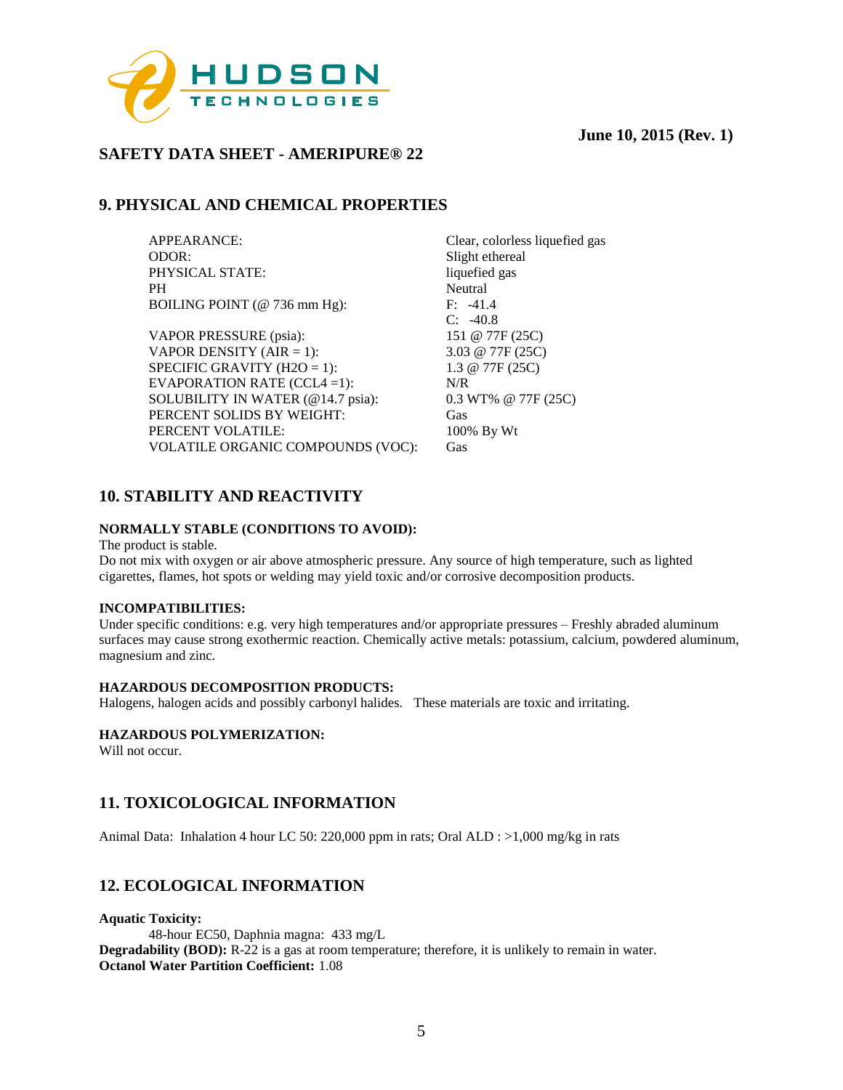

# **SAFETY DATA SHEET - AMERIPURE® 22**

# **9. PHYSICAL AND CHEMICAL PROPERTIES**

APPEARANCE: Clear, colorless liquefied gas ODOR: Slight ethereal PHYSICAL STATE: liquefied gas PH Neutral<br>BOILING POINT (@ 736 mm Hg): F: -41.4 BOILING POINT ( $@$  736 mm Hg):

VAPOR PRESSURE (psia): 151 @ 77F (25C) VAPOR DENSITY (AIR = 1):  $3.03 \text{ @ } 77F (25C)$ SPECIFIC GRAVITY (H2O = 1):  $1.3 @ 77F (25C)$ EVAPORATION RATE (CCL4 =1): N/R SOLUBILITY IN WATER (@14.7 psia): 0.3 WT% @ 77F (25C) PERCENT SOLIDS BY WEIGHT: Gas PERCENT VOLATILE: 100% By Wt VOLATILE ORGANIC COMPOUNDS (VOC): Gas

C: -40.8

# **10. STABILITY AND REACTIVITY**

### **NORMALLY STABLE (CONDITIONS TO AVOID):**

The product is stable.

Do not mix with oxygen or air above atmospheric pressure. Any source of high temperature, such as lighted cigarettes, flames, hot spots or welding may yield toxic and/or corrosive decomposition products.

#### **INCOMPATIBILITIES:**

Under specific conditions: e.g. very high temperatures and/or appropriate pressures – Freshly abraded aluminum surfaces may cause strong exothermic reaction. Chemically active metals: potassium, calcium, powdered aluminum, magnesium and zinc.

#### **HAZARDOUS DECOMPOSITION PRODUCTS:**

Halogens, halogen acids and possibly carbonyl halides. These materials are toxic and irritating.

#### **HAZARDOUS POLYMERIZATION:**

Will not occur.

# **11. TOXICOLOGICAL INFORMATION**

Animal Data: Inhalation 4 hour LC 50: 220,000 ppm in rats; Oral ALD : >1,000 mg/kg in rats

# **12. ECOLOGICAL INFORMATION**

**Aquatic Toxicity:** 48-hour EC50, Daphnia magna: 433 mg/L **Degradability (BOD):** R-22 is a gas at room temperature; therefore, it is unlikely to remain in water. **Octanol Water Partition Coefficient:** 1.08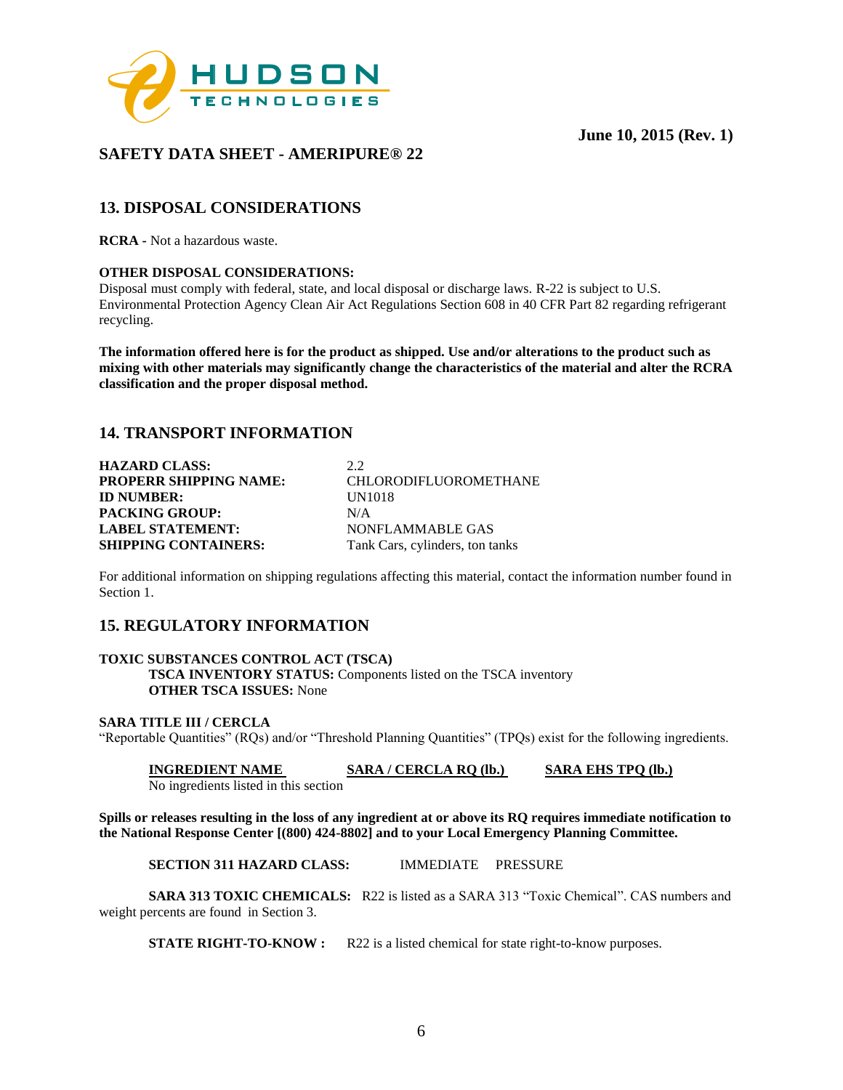



# **SAFETY DATA SHEET - AMERIPURE® 22**

# **13. DISPOSAL CONSIDERATIONS**

**RCRA -** Not a hazardous waste.

#### **OTHER DISPOSAL CONSIDERATIONS:**

Disposal must comply with federal, state, and local disposal or discharge laws. R-22 is subject to U.S. Environmental Protection Agency Clean Air Act Regulations Section 608 in 40 CFR Part 82 regarding refrigerant recycling.

**The information offered here is for the product as shipped. Use and/or alterations to the product such as mixing with other materials may significantly change the characteristics of the material and alter the RCRA classification and the proper disposal method.** 

# **14. TRANSPORT INFORMATION**

| <b>HAZARD CLASS:</b>          | 2.2                             |
|-------------------------------|---------------------------------|
| <b>PROPERR SHIPPING NAME:</b> | <b>CHLORODIFLUOROMETHANE</b>    |
| <b>ID NUMBER:</b>             | UN1018                          |
| <b>PACKING GROUP:</b>         | N/A                             |
| <b>LABEL STATEMENT:</b>       | NONFLAMMABLE GAS                |
| <b>SHIPPING CONTAINERS:</b>   | Tank Cars, cylinders, ton tanks |

For additional information on shipping regulations affecting this material, contact the information number found in Section 1.

# **15. REGULATORY INFORMATION**

### **TOXIC SUBSTANCES CONTROL ACT (TSCA)**

**TSCA INVENTORY STATUS:** Components listed on the TSCA inventory **OTHER TSCA ISSUES:** None

### **SARA TITLE III / CERCLA**

"Reportable Quantities" (RQs) and/or "Threshold Planning Quantities" (TPQs) exist for the following ingredients.

**INGREDIENT NAME SARA / CERCLA RQ (lb.) SARA EHS TPQ (lb.)**  No ingredients listed in this section

**Spills or releases resulting in the loss of any ingredient at or above its RQ requires immediate notification to the National Response Center [(800) 424-8802] and to your Local Emergency Planning Committee.** 

**SECTION 311 HAZARD CLASS:** IMMEDIATE PRESSURE

**SARA 313 TOXIC CHEMICALS:** R22 is listed as a SARA 313 "Toxic Chemical". CAS numbers and weight percents are found in Section 3.

**STATE RIGHT-TO-KNOW :** R22 is a listed chemical for state right-to-know purposes.